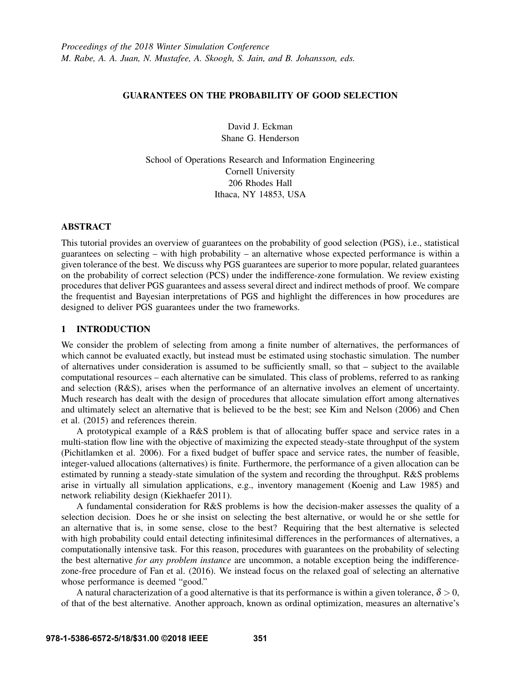## GUARANTEES ON THE PROBABILITY OF GOOD SELECTION

David J. Eckman Shane G. Henderson

School of Operations Research and Information Engineering Cornell University 206 Rhodes Hall Ithaca, NY 14853, USA

### **ABSTRACT**

This tutorial provides an overview of guarantees on the probability of good selection (PGS), i.e., statistical guarantees on selecting – with high probability – an alternative whose expected performance is within a given tolerance of the best. We discuss why PGS guarantees are superior to more popular, related guarantees on the probability of correct selection (PCS) under the indifference-zone formulation. We review existing procedures that deliver PGS guarantees and assess several direct and indirect methods of proof. We compare the frequentist and Bayesian interpretations of PGS and highlight the differences in how procedures are designed to deliver PGS guarantees under the two frameworks.

# 1 INTRODUCTION

We consider the problem of selecting from among a finite number of alternatives, the performances of which cannot be evaluated exactly, but instead must be estimated using stochastic simulation. The number of alternatives under consideration is assumed to be sufficiently small, so that – subject to the available computational resources – each alternative can be simulated. This class of problems, referred to as ranking and selection (R&S), arises when the performance of an alternative involves an element of uncertainty. Much research has dealt with the design of procedures that allocate simulation effort among alternatives and ultimately select an alternative that is believed to be the best; see Kim and Nelson (2006) and Chen et al. (2015) and references therein.

A prototypical example of a R&S problem is that of allocating buffer space and service rates in a multi-station flow line with the objective of maximizing the expected steady-state throughput of the system (Pichitlamken et al. 2006). For a fixed budget of buffer space and service rates, the number of feasible, integer-valued allocations (alternatives) is finite. Furthermore, the performance of a given allocation can be estimated by running a steady-state simulation of the system and recording the throughput. R&S problems arise in virtually all simulation applications, e.g., inventory management (Koenig and Law 1985) and network reliability design (Kiekhaefer 2011).

A fundamental consideration for R&S problems is how the decision-maker assesses the quality of a selection decision. Does he or she insist on selecting the best alternative, or would he or she settle for an alternative that is, in some sense, close to the best? Requiring that the best alternative is selected with high probability could entail detecting infinitesimal differences in the performances of alternatives, a computationally intensive task. For this reason, procedures with guarantees on the probability of selecting the best alternative *for any problem instance* are uncommon, a notable exception being the indifferencezone-free procedure of Fan et al. (2016). We instead focus on the relaxed goal of selecting an alternative whose performance is deemed "good."

A natural characterization of a good alternative is that its performance is within a given tolerance,  $\delta > 0$ , of that of the best alternative. Another approach, known as ordinal optimization, measures an alternative's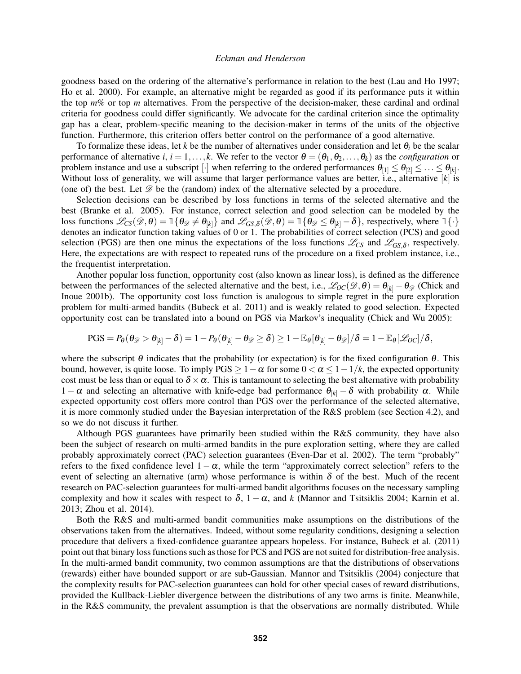goodness based on the ordering of the alternative's performance in relation to the best (Lau and Ho 1997; Ho et al. 2000). For example, an alternative might be regarded as good if its performance puts it within the top *m*% or top *m* alternatives. From the perspective of the decision-maker, these cardinal and ordinal criteria for goodness could differ significantly. We advocate for the cardinal criterion since the optimality gap has a clear, problem-specific meaning to the decision-maker in terms of the units of the objective function. Furthermore, this criterion offers better control on the performance of a good alternative.

To formalize these ideas, let *k* be the number of alternatives under consideration and let θ*<sup>i</sup>* be the scalar performance of alternative *i*,  $i = 1, ..., k$ . We refer to the vector  $\theta = (\theta_1, \theta_2, ..., \theta_k)$  as the *configuration* or problem instance and use a subscript  $[\cdot]$  when referring to the ordered performances  $\theta_{[1]} \leq \theta_{[2]} \leq \ldots \leq \theta_{[k]}$ . Without loss of generality, we will assume that larger performance values are better, i.e., alternative [*k*] is (one of) the best. Let  $\mathscr D$  be the (random) index of the alternative selected by a procedure.

Selection decisions can be described by loss functions in terms of the selected alternative and the best (Branke et al. 2005). For instance, correct selection and good selection can be modeled by the loss functions  $\mathscr{L}_{CS}(\mathscr{D}, \theta) = \mathbb{1}\{\theta_{\mathscr{D}} \neq \theta_{[k]}\}\$  and  $\mathscr{L}_{GS,\delta}(\mathscr{D}, \theta) = \mathbb{1}\{\theta_{\mathscr{D}} \leq \theta_{[k]} - \delta\}$ , respectively, where  $\mathbb{1}\{\cdot\}$ denotes an indicator function taking values of 0 or 1. The probabilities of correct selection (PCS) and good selection (PGS) are then one minus the expectations of the loss functions  $\mathcal{L}_{CS}$  and  $\mathcal{L}_{GS,\delta}$ , respectively. Here, the expectations are with respect to repeated runs of the procedure on a fixed problem instance, i.e., the frequentist interpretation.

Another popular loss function, opportunity cost (also known as linear loss), is defined as the difference between the performances of the selected alternative and the best, i.e.,  $\mathscr{L}_{OC}(\mathscr{D}, \theta) = \theta_{[k]} - \theta_{\mathscr{D}}$  (Chick and Inoue 2001b). The opportunity cost loss function is analogous to simple regret in the pure exploration problem for multi-armed bandits (Bubeck et al. 2011) and is weakly related to good selection. Expected opportunity cost can be translated into a bound on PGS via Markov's inequality (Chick and Wu 2005):

$$
\text{PGS} = P_{\theta}(\theta_{\mathscr{D}} > \theta_{[k]} - \delta) = 1 - P_{\theta}(\theta_{[k]} - \theta_{\mathscr{D}} \ge \delta) \ge 1 - \mathbb{E}_{\theta}[\theta_{[k]} - \theta_{\mathscr{D}}]/\delta = 1 - \mathbb{E}_{\theta}[\mathscr{L}_{OC}]/\delta,
$$

where the subscript  $\theta$  indicates that the probability (or expectation) is for the fixed configuration  $\theta$ . This bound, however, is quite loose. To imply PGS  $\geq 1-\alpha$  for some  $0 < \alpha \leq 1-1/k$ , the expected opportunity cost must be less than or equal to  $\delta \times \alpha$ . This is tantamount to selecting the best alternative with probability 1 − α and selecting an alternative with knife-edge bad performance  $θ_{k}$  − δ with probability α. While expected opportunity cost offers more control than PGS over the performance of the selected alternative, it is more commonly studied under the Bayesian interpretation of the R&S problem (see Section 4.2), and so we do not discuss it further.

Although PGS guarantees have primarily been studied within the R&S community, they have also been the subject of research on multi-armed bandits in the pure exploration setting, where they are called probably approximately correct (PAC) selection guarantees (Even-Dar et al. 2002). The term "probably" refers to the fixed confidence level  $1-\alpha$ , while the term "approximately correct selection" refers to the event of selecting an alternative (arm) whose performance is within  $\delta$  of the best. Much of the recent research on PAC-selection guarantees for multi-armed bandit algorithms focuses on the necessary sampling complexity and how it scales with respect to  $\delta$ ,  $1-\alpha$ , and *k* (Mannor and Tsitsiklis 2004; Karnin et al. 2013; Zhou et al. 2014).

Both the R&S and multi-armed bandit communities make assumptions on the distributions of the observations taken from the alternatives. Indeed, without some regularity conditions, designing a selection procedure that delivers a fixed-confidence guarantee appears hopeless. For instance, Bubeck et al. (2011) point out that binary loss functions such as those for PCS and PGS are not suited for distribution-free analysis. In the multi-armed bandit community, two common assumptions are that the distributions of observations (rewards) either have bounded support or are sub-Gaussian. Mannor and Tsitsiklis (2004) conjecture that the complexity results for PAC-selection guarantees can hold for other special cases of reward distributions, provided the Kullback-Liebler divergence between the distributions of any two arms is finite. Meanwhile, in the R&S community, the prevalent assumption is that the observations are normally distributed. While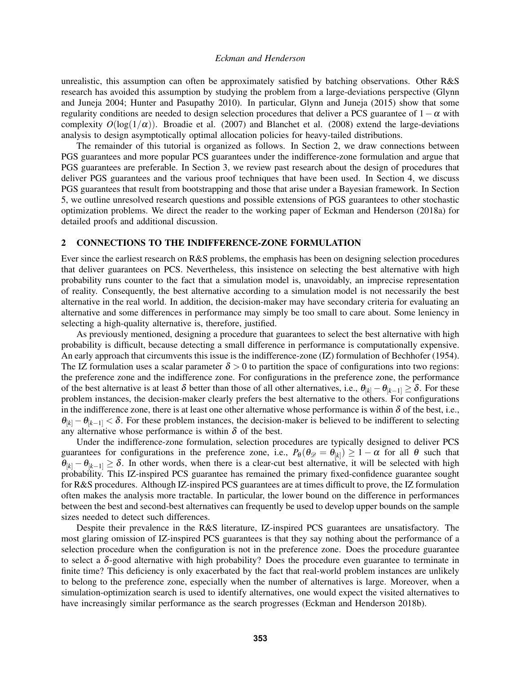unrealistic, this assumption can often be approximately satisfied by batching observations. Other R&S research has avoided this assumption by studying the problem from a large-deviations perspective (Glynn and Juneja 2004; Hunter and Pasupathy 2010). In particular, Glynn and Juneja (2015) show that some regularity conditions are needed to design selection procedures that deliver a PCS guarantee of  $1-\alpha$  with complexity  $O(\log(1/\alpha))$ . Broadie et al. (2007) and Blanchet et al. (2008) extend the large-deviations analysis to design asymptotically optimal allocation policies for heavy-tailed distributions.

The remainder of this tutorial is organized as follows. In Section 2, we draw connections between PGS guarantees and more popular PCS guarantees under the indifference-zone formulation and argue that PGS guarantees are preferable. In Section 3, we review past research about the design of procedures that deliver PGS guarantees and the various proof techniques that have been used. In Section 4, we discuss PGS guarantees that result from bootstrapping and those that arise under a Bayesian framework. In Section 5, we outline unresolved research questions and possible extensions of PGS guarantees to other stochastic optimization problems. We direct the reader to the working paper of Eckman and Henderson (2018a) for detailed proofs and additional discussion.

#### 2 CONNECTIONS TO THE INDIFFERENCE-ZONE FORMULATION

Ever since the earliest research on R&S problems, the emphasis has been on designing selection procedures that deliver guarantees on PCS. Nevertheless, this insistence on selecting the best alternative with high probability runs counter to the fact that a simulation model is, unavoidably, an imprecise representation of reality. Consequently, the best alternative according to a simulation model is not necessarily the best alternative in the real world. In addition, the decision-maker may have secondary criteria for evaluating an alternative and some differences in performance may simply be too small to care about. Some leniency in selecting a high-quality alternative is, therefore, justified.

As previously mentioned, designing a procedure that guarantees to select the best alternative with high probability is difficult, because detecting a small difference in performance is computationally expensive. An early approach that circumvents this issue is the indifference-zone (IZ) formulation of Bechhofer (1954). The IZ formulation uses a scalar parameter  $\delta > 0$  to partition the space of configurations into two regions: the preference zone and the indifference zone. For configurations in the preference zone, the performance of the best alternative is at least  $\delta$  better than those of all other alternatives, i.e.,  $\theta_{[k]} - \theta_{[k-1]} \ge \delta$ . For these problem instances, the decision-maker clearly prefers the best alternative to the others. For configurations in the indifference zone, there is at least one other alternative whose performance is within  $\delta$  of the best, i.e.,  $\theta_{[k]} - \theta_{[k-1]} < \delta$ . For these problem instances, the decision-maker is believed to be indifferent to selecting any alternative whose performance is within  $\delta$  of the best.

Under the indifference-zone formulation, selection procedures are typically designed to deliver PCS guarantees for configurations in the preference zone, i.e.,  $P_{\theta}(\theta_{\mathscr{D}} = \theta_{[k]}) \geq 1 - \alpha$  for all  $\theta$  such that  $\theta_{[k]} - \theta_{[k-1]} \ge \delta$ . In other words, when there is a clear-cut best alternative, it will be selected with high probability. This IZ-inspired PCS guarantee has remained the primary fixed-confidence guarantee sought for R&S procedures. Although IZ-inspired PCS guarantees are at times difficult to prove, the IZ formulation often makes the analysis more tractable. In particular, the lower bound on the difference in performances between the best and second-best alternatives can frequently be used to develop upper bounds on the sample sizes needed to detect such differences.

Despite their prevalence in the R&S literature, IZ-inspired PCS guarantees are unsatisfactory. The most glaring omission of IZ-inspired PCS guarantees is that they say nothing about the performance of a selection procedure when the configuration is not in the preference zone. Does the procedure guarantee to select a δ-good alternative with high probability? Does the procedure even guarantee to terminate in finite time? This deficiency is only exacerbated by the fact that real-world problem instances are unlikely to belong to the preference zone, especially when the number of alternatives is large. Moreover, when a simulation-optimization search is used to identify alternatives, one would expect the visited alternatives to have increasingly similar performance as the search progresses (Eckman and Henderson 2018b).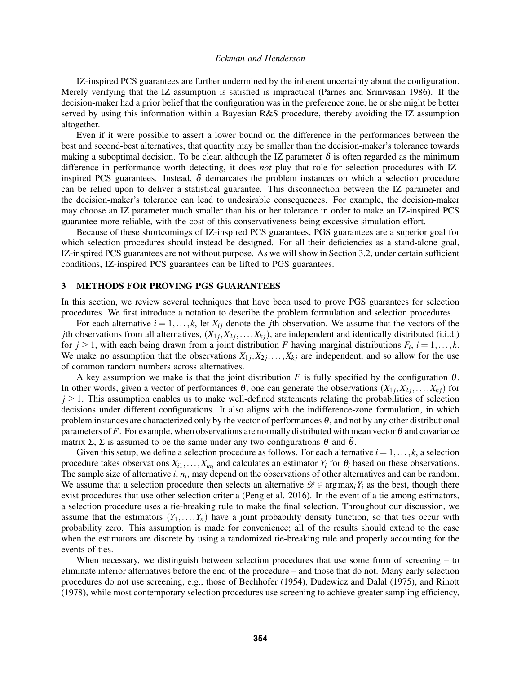IZ-inspired PCS guarantees are further undermined by the inherent uncertainty about the configuration. Merely verifying that the IZ assumption is satisfied is impractical (Parnes and Srinivasan 1986). If the decision-maker had a prior belief that the configuration was in the preference zone, he or she might be better served by using this information within a Bayesian R&S procedure, thereby avoiding the IZ assumption altogether.

Even if it were possible to assert a lower bound on the difference in the performances between the best and second-best alternatives, that quantity may be smaller than the decision-maker's tolerance towards making a suboptimal decision. To be clear, although the IZ parameter  $\delta$  is often regarded as the minimum difference in performance worth detecting, it does *not* play that role for selection procedures with IZinspired PCS guarantees. Instead,  $\delta$  demarcates the problem instances on which a selection procedure can be relied upon to deliver a statistical guarantee. This disconnection between the IZ parameter and the decision-maker's tolerance can lead to undesirable consequences. For example, the decision-maker may choose an IZ parameter much smaller than his or her tolerance in order to make an IZ-inspired PCS guarantee more reliable, with the cost of this conservativeness being excessive simulation effort.

Because of these shortcomings of IZ-inspired PCS guarantees, PGS guarantees are a superior goal for which selection procedures should instead be designed. For all their deficiencies as a stand-alone goal, IZ-inspired PCS guarantees are not without purpose. As we will show in Section 3.2, under certain sufficient conditions, IZ-inspired PCS guarantees can be lifted to PGS guarantees.

## 3 METHODS FOR PROVING PGS GUARANTEES

In this section, we review several techniques that have been used to prove PGS guarantees for selection procedures. We first introduce a notation to describe the problem formulation and selection procedures.

For each alternative  $i = 1, \ldots, k$ , let  $X_{ij}$  denote the *j*th observation. We assume that the vectors of the *j*th observations from all alternatives,  $(X_{1j}, X_{2j}, \ldots, X_{kj})$ , are independent and identically distributed (i.i.d.) for  $j \ge 1$ , with each being drawn from a joint distribution *F* having marginal distributions  $F_i$ ,  $i = 1, \ldots, k$ . We make no assumption that the observations  $X_1, X_2, \ldots, X_k$  are independent, and so allow for the use of common random numbers across alternatives.

A key assumption we make is that the joint distribution *F* is fully specified by the configuration  $\theta$ . In other words, given a vector of performances  $\theta$ , one can generate the observations  $(X_{1j}, X_{2j}, \ldots, X_{kj})$  for  $j \geq 1$ . This assumption enables us to make well-defined statements relating the probabilities of selection decisions under different configurations. It also aligns with the indifference-zone formulation, in which problem instances are characterized only by the vector of performances  $\theta$ , and not by any other distributional parameters of *F*. For example, when observations are normally distributed with mean vector  $\theta$  and covariance matrix  $\Sigma$ ,  $\Sigma$  is assumed to be the same under any two configurations  $\theta$  and  $\theta$ .

Given this setup, we define a selection procedure as follows. For each alternative  $i = 1, \ldots, k$ , a selection procedure takes observations  $X_{i1},...,X_{in_i}$  and calculates an estimator  $Y_i$  for  $\theta_i$  based on these observations. The sample size of alternative *i*, *n<sup>i</sup>* , may depend on the observations of other alternatives and can be random. We assume that a selection procedure then selects an alternative  $\mathscr{D} \in \arg \max_i Y_i$  as the best, though there exist procedures that use other selection criteria (Peng et al. 2016). In the event of a tie among estimators, a selection procedure uses a tie-breaking rule to make the final selection. Throughout our discussion, we assume that the estimators  $(Y_1, \ldots, Y_n)$  have a joint probability density function, so that ties occur with probability zero. This assumption is made for convenience; all of the results should extend to the case when the estimators are discrete by using a randomized tie-breaking rule and properly accounting for the events of ties.

When necessary, we distinguish between selection procedures that use some form of screening – to eliminate inferior alternatives before the end of the procedure – and those that do not. Many early selection procedures do not use screening, e.g., those of Bechhofer (1954), Dudewicz and Dalal (1975), and Rinott (1978), while most contemporary selection procedures use screening to achieve greater sampling efficiency,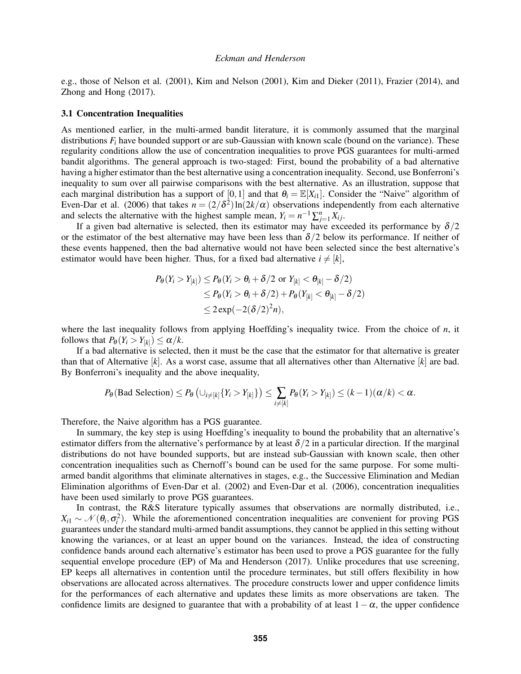e.g., those of Nelson et al. (2001), Kim and Nelson (2001), Kim and Dieker (2011), Frazier (2014), and Zhong and Hong (2017).

#### 3.1 Concentration Inequalities

As mentioned earlier, in the multi-armed bandit literature, it is commonly assumed that the marginal distributions *F<sup>i</sup>* have bounded support or are sub-Gaussian with known scale (bound on the variance). These regularity conditions allow the use of concentration inequalities to prove PGS guarantees for multi-armed bandit algorithms. The general approach is two-staged: First, bound the probability of a bad alternative having a higher estimator than the best alternative using a concentration inequality. Second, use Bonferroni's inequality to sum over all pairwise comparisons with the best alternative. As an illustration, suppose that each marginal distribution has a support of [0,1] and that  $\theta_i = \mathbb{E}[X_i]$ . Consider the "Naive" algorithm of Even-Dar et al. (2006) that takes  $n = (2/\delta^2) \ln(2k/\alpha)$  observations independently from each alternative and selects the alternative with the highest sample mean,  $Y_i = n^{-1} \sum_{j=1}^n X_{ij}$ .

If a given bad alternative is selected, then its estimator may have exceeded its performance by  $\delta/2$ or the estimator of the best alternative may have been less than  $\delta/2$  below its performance. If neither of these events happened, then the bad alternative would not have been selected since the best alternative's estimator would have been higher. Thus, for a fixed bad alternative  $i \neq [k]$ ,

$$
P_{\theta}(Y_i > Y_{[k]}) \le P_{\theta}(Y_i > \theta_i + \delta/2 \text{ or } Y_{[k]} < \theta_{[k]} - \delta/2)
$$
  
\n
$$
\le P_{\theta}(Y_i > \theta_i + \delta/2) + P_{\theta}(Y_{[k]} < \theta_{[k]} - \delta/2)
$$
  
\n
$$
\le 2 \exp(-2(\delta/2)^2 n),
$$

where the last inequality follows from applying Hoeffding's inequality twice. From the choice of *n*, it follows that  $P_{\theta}(Y_i > Y_{[k]}) \leq \alpha/k$ .

If a bad alternative is selected, then it must be the case that the estimator for that alternative is greater than that of Alternative [*k*]. As a worst case, assume that all alternatives other than Alternative [*k*] are bad. By Bonferroni's inequality and the above inequality,

$$
P_{\theta}(\text{Bad Selection}) \leq P_{\theta}\left(\cup_{i \neq [k]}\{Y_i > Y_{[k]}\}\right) \leq \sum_{i \neq [k]} P_{\theta}(Y_i > Y_{[k]}) \leq (k-1)(\alpha/k) < \alpha.
$$

Therefore, the Naive algorithm has a PGS guarantee.

In summary, the key step is using Hoeffding's inequality to bound the probability that an alternative's estimator differs from the alternative's performance by at least  $\delta/2$  in a particular direction. If the marginal distributions do not have bounded supports, but are instead sub-Gaussian with known scale, then other concentration inequalities such as Chernoff's bound can be used for the same purpose. For some multiarmed bandit algorithms that eliminate alternatives in stages, e.g., the Successive Elimination and Median Elimination algorithms of Even-Dar et al. (2002) and Even-Dar et al. (2006), concentration inequalities have been used similarly to prove PGS guarantees.

In contrast, the R&S literature typically assumes that observations are normally distributed, i.e.,  $X_{i1} \sim \mathcal{N}(\theta_i, \sigma_i^2)$ . While the aforementioned concentration inequalities are convenient for proving PGS guarantees under the standard multi-armed bandit assumptions, they cannot be applied in this setting without knowing the variances, or at least an upper bound on the variances. Instead, the idea of constructing confidence bands around each alternative's estimator has been used to prove a PGS guarantee for the fully sequential envelope procedure (EP) of Ma and Henderson (2017). Unlike procedures that use screening, EP keeps all alternatives in contention until the procedure terminates, but still offers flexibility in how observations are allocated across alternatives. The procedure constructs lower and upper confidence limits for the performances of each alternative and updates these limits as more observations are taken. The confidence limits are designed to guarantee that with a probability of at least  $1-\alpha$ , the upper confidence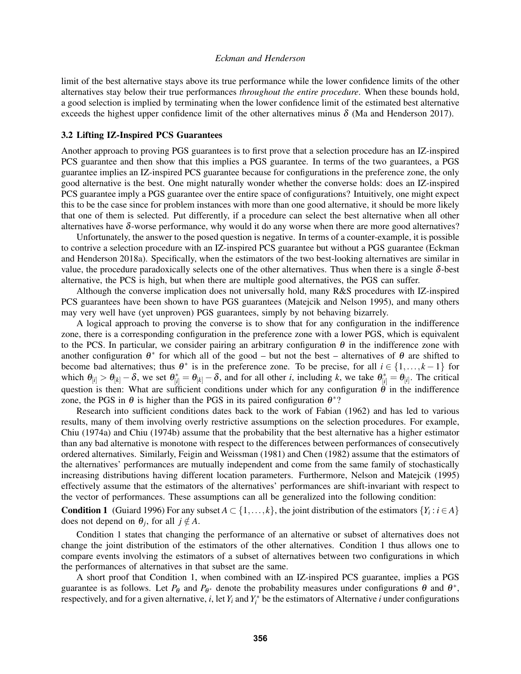limit of the best alternative stays above its true performance while the lower confidence limits of the other alternatives stay below their true performances *throughout the entire procedure*. When these bounds hold, a good selection is implied by terminating when the lower confidence limit of the estimated best alternative exceeds the highest upper confidence limit of the other alternatives minus  $\delta$  (Ma and Henderson 2017).

## 3.2 Lifting IZ-Inspired PCS Guarantees

Another approach to proving PGS guarantees is to first prove that a selection procedure has an IZ-inspired PCS guarantee and then show that this implies a PGS guarantee. In terms of the two guarantees, a PGS guarantee implies an IZ-inspired PCS guarantee because for configurations in the preference zone, the only good alternative is the best. One might naturally wonder whether the converse holds: does an IZ-inspired PCS guarantee imply a PGS guarantee over the entire space of configurations? Intuitively, one might expect this to be the case since for problem instances with more than one good alternative, it should be more likely that one of them is selected. Put differently, if a procedure can select the best alternative when all other alternatives have  $\delta$ -worse performance, why would it do any worse when there are more good alternatives?

Unfortunately, the answer to the posed question is negative. In terms of a counter-example, it is possible to contrive a selection procedure with an IZ-inspired PCS guarantee but without a PGS guarantee (Eckman and Henderson 2018a). Specifically, when the estimators of the two best-looking alternatives are similar in value, the procedure paradoxically selects one of the other alternatives. Thus when there is a single  $\delta$ -best alternative, the PCS is high, but when there are multiple good alternatives, the PGS can suffer.

Although the converse implication does not universally hold, many R&S procedures with IZ-inspired PCS guarantees have been shown to have PGS guarantees (Matejcik and Nelson 1995), and many others may very well have (yet unproven) PGS guarantees, simply by not behaving bizarrely.

A logical approach to proving the converse is to show that for any configuration in the indifference zone, there is a corresponding configuration in the preference zone with a lower PGS, which is equivalent to the PCS. In particular, we consider pairing an arbitrary configuration  $\theta$  in the indifference zone with another configuration  $\theta^*$  for which all of the good – but not the best – alternatives of  $\theta$  are shifted to become bad alternatives; thus  $\theta^*$  is in the preference zone. To be precise, for all  $i \in \{1, ..., k-1\}$  for which  $\theta_{[i]} > \theta_{[k]} - \delta$ , we set  $\theta_{[i]}^* = \theta_{[k]} - \delta$ , and for all other *i*, including *k*, we take  $\theta_{[i]}^* = \theta_{[i]}$ . The critical question is then: What are sufficient conditions under which for any configuration  $\hat{\theta}$  in the indifference zone, the PGS in  $\theta$  is higher than the PGS in its paired configuration  $\theta^*$ ?

Research into sufficient conditions dates back to the work of Fabian (1962) and has led to various results, many of them involving overly restrictive assumptions on the selection procedures. For example, Chiu (1974a) and Chiu (1974b) assume that the probability that the best alternative has a higher estimator than any bad alternative is monotone with respect to the differences between performances of consecutively ordered alternatives. Similarly, Feigin and Weissman (1981) and Chen (1982) assume that the estimators of the alternatives' performances are mutually independent and come from the same family of stochastically increasing distributions having different location parameters. Furthermore, Nelson and Matejcik (1995) effectively assume that the estimators of the alternatives' performances are shift-invariant with respect to the vector of performances. These assumptions can all be generalized into the following condition:

**Condition 1** (Guiard 1996) For any subset  $A \subset \{1, \ldots, k\}$ , the joint distribution of the estimators  $\{Y_i : i \in A\}$ does not depend on  $\theta_j$ , for all  $j \notin A$ .

Condition 1 states that changing the performance of an alternative or subset of alternatives does not change the joint distribution of the estimators of the other alternatives. Condition 1 thus allows one to compare events involving the estimators of a subset of alternatives between two configurations in which the performances of alternatives in that subset are the same.

A short proof that Condition 1, when combined with an IZ-inspired PCS guarantee, implies a PGS guarantee is as follows. Let  $P_{\theta}$  and  $P_{\theta^*}$  denote the probability measures under configurations  $\theta$  and  $\theta^*$ , respectively, and for a given alternative, *i*, let  $Y_i$  and  $Y_i^*$  be the estimators of Alternative *i* under configurations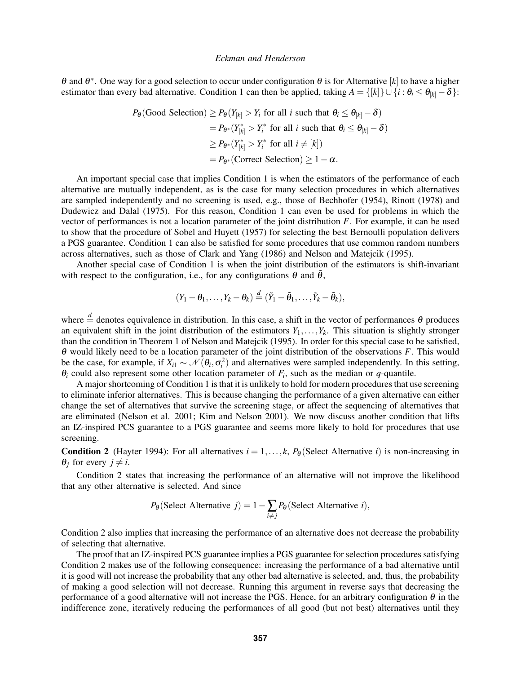θ and θ ∗ . One way for a good selection to occur under configuration θ is for Alternative [*k*] to have a higher estimator than every bad alternative. Condition 1 can then be applied, taking  $A = \{[k]\} \cup \{i : \theta_i \leq \theta_{[k]} - \delta\}$ :

$$
P_{\theta}(\text{Good Selection}) \ge P_{\theta}(Y_{[k]} > Y_i \text{ for all } i \text{ such that } \theta_i \le \theta_{[k]} - \delta)
$$
  
=  $P_{\theta^*}(Y_{[k]} > Y_i^*$  for all  $i \text{ such that } \theta_i \le \theta_{[k]} - \delta)$   
 $\ge P_{\theta^*}(Y_{[k]} > Y_i^*$  for all  $i \ne [k])$   
=  $P_{\theta^*}(\text{Correct Selection}) \ge 1 - \alpha.$ 

An important special case that implies Condition 1 is when the estimators of the performance of each alternative are mutually independent, as is the case for many selection procedures in which alternatives are sampled independently and no screening is used, e.g., those of Bechhofer (1954), Rinott (1978) and Dudewicz and Dalal (1975). For this reason, Condition 1 can even be used for problems in which the vector of performances is not a location parameter of the joint distribution *F*. For example, it can be used to show that the procedure of Sobel and Huyett (1957) for selecting the best Bernoulli population delivers a PGS guarantee. Condition 1 can also be satisfied for some procedures that use common random numbers across alternatives, such as those of Clark and Yang (1986) and Nelson and Matejcik (1995).

Another special case of Condition 1 is when the joint distribution of the estimators is shift-invariant with respect to the configuration, i.e., for any configurations  $\theta$  and  $\tilde{\theta}$ ,

$$
(Y_1-\theta_1,\ldots,Y_k-\theta_k)\stackrel{d}{=}(\tilde{Y}_1-\tilde{\theta}_1,\ldots,\tilde{Y}_k-\tilde{\theta}_k),
$$

where  $\frac{d}{dx}$  denotes equivalence in distribution. In this case, a shift in the vector of performances  $\theta$  produces an equivalent shift in the joint distribution of the estimators  $Y_1, \ldots, Y_k$ . This situation is slightly stronger than the condition in Theorem 1 of Nelson and Matejcik (1995). In order for this special case to be satisfied, θ would likely need to be a location parameter of the joint distribution of the observations *F*. This would be the case, for example, if  $X_{i1} \sim \mathcal{N}(\theta_i, \sigma_i^2)$  and alternatives were sampled independently. In this setting,  $\theta_i$  could also represent some other location parameter of  $F_i$ , such as the median or  $q$ -quantile.

A major shortcoming of Condition 1 is that it is unlikely to hold for modern procedures that use screening to eliminate inferior alternatives. This is because changing the performance of a given alternative can either change the set of alternatives that survive the screening stage, or affect the sequencing of alternatives that are eliminated (Nelson et al. 2001; Kim and Nelson 2001). We now discuss another condition that lifts an IZ-inspired PCS guarantee to a PGS guarantee and seems more likely to hold for procedures that use screening.

**Condition 2** (Hayter 1994): For all alternatives  $i = 1, \ldots, k$ ,  $P_{\theta}$  (Select Alternative *i*) is non-increasing in  $\theta_i$  for every  $j \neq i$ .

Condition 2 states that increasing the performance of an alternative will not improve the likelihood that any other alternative is selected. And since

$$
P_{\theta}(\text{Select Alternative } j) = 1 - \sum_{i \neq j} P_{\theta}(\text{Select Alternative } i),
$$

Condition 2 also implies that increasing the performance of an alternative does not decrease the probability of selecting that alternative.

The proof that an IZ-inspired PCS guarantee implies a PGS guarantee for selection procedures satisfying Condition 2 makes use of the following consequence: increasing the performance of a bad alternative until it is good will not increase the probability that any other bad alternative is selected, and, thus, the probability of making a good selection will not decrease. Running this argument in reverse says that decreasing the performance of a good alternative will not increase the PGS. Hence, for an arbitrary configuration  $\theta$  in the indifference zone, iteratively reducing the performances of all good (but not best) alternatives until they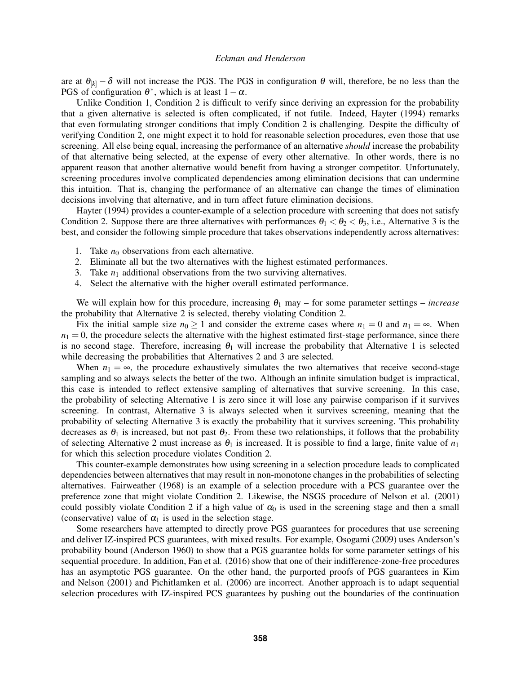are at  $\theta_{[k]}$  –  $\delta$  will not increase the PGS. The PGS in configuration  $\theta$  will, therefore, be no less than the PGS of configuration  $\theta^*$ , which is at least  $1-\alpha$ .

Unlike Condition 1, Condition 2 is difficult to verify since deriving an expression for the probability that a given alternative is selected is often complicated, if not futile. Indeed, Hayter (1994) remarks that even formulating stronger conditions that imply Condition 2 is challenging. Despite the difficulty of verifying Condition 2, one might expect it to hold for reasonable selection procedures, even those that use screening. All else being equal, increasing the performance of an alternative *should* increase the probability of that alternative being selected, at the expense of every other alternative. In other words, there is no apparent reason that another alternative would benefit from having a stronger competitor. Unfortunately, screening procedures involve complicated dependencies among elimination decisions that can undermine this intuition. That is, changing the performance of an alternative can change the times of elimination decisions involving that alternative, and in turn affect future elimination decisions.

Hayter (1994) provides a counter-example of a selection procedure with screening that does not satisfy Condition 2. Suppose there are three alternatives with performances  $\theta_1 < \theta_2 < \theta_3$ , i.e., Alternative 3 is the best, and consider the following simple procedure that takes observations independently across alternatives:

- 1. Take  $n_0$  observations from each alternative.
- 2. Eliminate all but the two alternatives with the highest estimated performances.
- 3. Take  $n_1$  additional observations from the two surviving alternatives.
- 4. Select the alternative with the higher overall estimated performance.

We will explain how for this procedure, increasing  $\theta_1$  may – for some parameter settings – *increase* the probability that Alternative 2 is selected, thereby violating Condition 2.

Fix the initial sample size  $n_0 \ge 1$  and consider the extreme cases where  $n_1 = 0$  and  $n_1 = \infty$ . When  $n_1 = 0$ , the procedure selects the alternative with the highest estimated first-stage performance, since there is no second stage. Therefore, increasing  $\theta_1$  will increase the probability that Alternative 1 is selected while decreasing the probabilities that Alternatives 2 and 3 are selected.

When  $n_1 = \infty$ , the procedure exhaustively simulates the two alternatives that receive second-stage sampling and so always selects the better of the two. Although an infinite simulation budget is impractical, this case is intended to reflect extensive sampling of alternatives that survive screening. In this case, the probability of selecting Alternative 1 is zero since it will lose any pairwise comparison if it survives screening. In contrast, Alternative 3 is always selected when it survives screening, meaning that the probability of selecting Alternative 3 is exactly the probability that it survives screening. This probability decreases as  $\theta_1$  is increased, but not past  $\theta_2$ . From these two relationships, it follows that the probability of selecting Alternative 2 must increase as  $\theta_1$  is increased. It is possible to find a large, finite value of  $n_1$ for which this selection procedure violates Condition 2.

This counter-example demonstrates how using screening in a selection procedure leads to complicated dependencies between alternatives that may result in non-monotone changes in the probabilities of selecting alternatives. Fairweather (1968) is an example of a selection procedure with a PCS guarantee over the preference zone that might violate Condition 2. Likewise, the NSGS procedure of Nelson et al. (2001) could possibly violate Condition 2 if a high value of  $\alpha_0$  is used in the screening stage and then a small (conservative) value of  $\alpha_1$  is used in the selection stage.

Some researchers have attempted to directly prove PGS guarantees for procedures that use screening and deliver IZ-inspired PCS guarantees, with mixed results. For example, Osogami (2009) uses Anderson's probability bound (Anderson 1960) to show that a PGS guarantee holds for some parameter settings of his sequential procedure. In addition, Fan et al. (2016) show that one of their indifference-zone-free procedures has an asymptotic PGS guarantee. On the other hand, the purported proofs of PGS guarantees in Kim and Nelson (2001) and Pichitlamken et al. (2006) are incorrect. Another approach is to adapt sequential selection procedures with IZ-inspired PCS guarantees by pushing out the boundaries of the continuation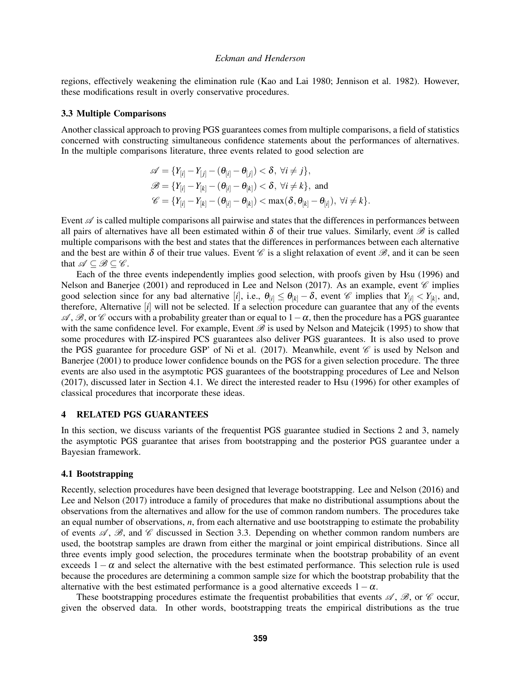regions, effectively weakening the elimination rule (Kao and Lai 1980; Jennison et al. 1982). However, these modifications result in overly conservative procedures.

#### 3.3 Multiple Comparisons

Another classical approach to proving PGS guarantees comes from multiple comparisons, a field of statistics concerned with constructing simultaneous confidence statements about the performances of alternatives. In the multiple comparisons literature, three events related to good selection are

$$
\mathscr{A} = \{Y_{[i]} - Y_{[j]} - (\theta_{[i]} - \theta_{[j]}) < \delta, \ \forall i \neq j\},
$$
\n
$$
\mathscr{B} = \{Y_{[i]} - Y_{[k]} - (\theta_{[i]} - \theta_{[k]}) < \delta, \ \forall i \neq k\}, \text{ and}
$$
\n
$$
\mathscr{C} = \{Y_{[i]} - Y_{[k]} - (\theta_{[i]} - \theta_{[k]}) < \max(\delta, \theta_{[k]} - \theta_{[i]}), \ \forall i \neq k\}.
$$

Event  $\mathscr A$  is called multiple comparisons all pairwise and states that the differences in performances between all pairs of alternatives have all been estimated within  $\delta$  of their true values. Similarly, event  $\mathscr B$  is called multiple comparisons with the best and states that the differences in performances between each alternative and the best are within  $\delta$  of their true values. Event  $\mathscr C$  is a slight relaxation of event  $\mathscr B$ , and it can be seen that  $\mathscr{A} \subseteq \mathscr{B} \subseteq \mathscr{C}$ .

Each of the three events independently implies good selection, with proofs given by Hsu (1996) and Nelson and Banerjee (2001) and reproduced in Lee and Nelson (2017). As an example, event  $\mathscr C$  implies good selection since for any bad alternative [*i*], i.e.,  $\theta_{[i]} \leq \theta_{[k]} - \delta$ , event  $\mathscr{C}$  implies that  $Y_{[i]} < Y_{[k]}$ , and, therefore, Alternative [*i*] will not be selected. If a selection procedure can guarantee that any of the events  $\mathcal{A}, \mathcal{B},$  or  $\mathcal{C}$  occurs with a probability greater than or equal to  $1-\alpha$ , then the procedure has a PGS guarantee with the same confidence level. For example, Event  $\mathscr B$  is used by Nelson and Matejcik (1995) to show that some procedures with IZ-inspired PCS guarantees also deliver PGS guarantees. It is also used to prove the PGS guarantee for procedure GSP' of Ni et al. (2017). Meanwhile, event  $\mathscr C$  is used by Nelson and Banerjee (2001) to produce lower confidence bounds on the PGS for a given selection procedure. The three events are also used in the asymptotic PGS guarantees of the bootstrapping procedures of Lee and Nelson (2017), discussed later in Section 4.1. We direct the interested reader to Hsu (1996) for other examples of classical procedures that incorporate these ideas.

### 4 RELATED PGS GUARANTEES

In this section, we discuss variants of the frequentist PGS guarantee studied in Sections 2 and 3, namely the asymptotic PGS guarantee that arises from bootstrapping and the posterior PGS guarantee under a Bayesian framework.

## 4.1 Bootstrapping

Recently, selection procedures have been designed that leverage bootstrapping. Lee and Nelson (2016) and Lee and Nelson (2017) introduce a family of procedures that make no distributional assumptions about the observations from the alternatives and allow for the use of common random numbers. The procedures take an equal number of observations, *n*, from each alternative and use bootstrapping to estimate the probability of events  $\mathscr{A}, \mathscr{B}$ , and  $\mathscr{C}$  discussed in Section 3.3. Depending on whether common random numbers are used, the bootstrap samples are drawn from either the marginal or joint empirical distributions. Since all three events imply good selection, the procedures terminate when the bootstrap probability of an event exceeds  $1-\alpha$  and select the alternative with the best estimated performance. This selection rule is used because the procedures are determining a common sample size for which the bootstrap probability that the alternative with the best estimated performance is a good alternative exceeds  $1-\alpha$ .

These bootstrapping procedures estimate the frequentist probabilities that events  $\mathscr{A}, \mathscr{B}$ , or  $\mathscr{C}$  occur, given the observed data. In other words, bootstrapping treats the empirical distributions as the true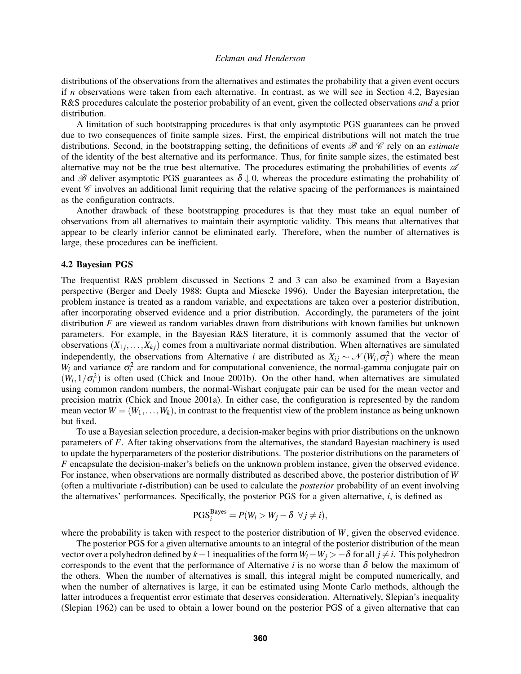distributions of the observations from the alternatives and estimates the probability that a given event occurs if *n* observations were taken from each alternative. In contrast, as we will see in Section 4.2, Bayesian R&S procedures calculate the posterior probability of an event, given the collected observations *and* a prior distribution.

A limitation of such bootstrapping procedures is that only asymptotic PGS guarantees can be proved due to two consequences of finite sample sizes. First, the empirical distributions will not match the true distributions. Second, in the bootstrapping setting, the definitions of events  $\mathscr B$  and  $\mathscr C$  rely on an *estimate* of the identity of the best alternative and its performance. Thus, for finite sample sizes, the estimated best alternative may not be the true best alternative. The procedures estimating the probabilities of events  $\mathscr A$ and B deliver asymptotic PGS guarantees as  $\delta \downarrow 0$ , whereas the procedure estimating the probability of event  $\mathscr C$  involves an additional limit requiring that the relative spacing of the performances is maintained as the configuration contracts.

Another drawback of these bootstrapping procedures is that they must take an equal number of observations from all alternatives to maintain their asymptotic validity. This means that alternatives that appear to be clearly inferior cannot be eliminated early. Therefore, when the number of alternatives is large, these procedures can be inefficient.

### 4.2 Bayesian PGS

The frequentist R&S problem discussed in Sections 2 and 3 can also be examined from a Bayesian perspective (Berger and Deely 1988; Gupta and Miescke 1996). Under the Bayesian interpretation, the problem instance is treated as a random variable, and expectations are taken over a posterior distribution, after incorporating observed evidence and a prior distribution. Accordingly, the parameters of the joint distribution *F* are viewed as random variables drawn from distributions with known families but unknown parameters. For example, in the Bayesian R&S literature, it is commonly assumed that the vector of observations  $(X_{1j},...,X_{kj})$  comes from a multivariate normal distribution. When alternatives are simulated independently, the observations from Alternative *i* are distributed as  $X_{ij} \sim \mathcal{N}(W_i, \sigma_i^2)$  where the mean  $W_i$  and variance  $\sigma_i^2$  are random and for computational convenience, the normal-gamma conjugate pair on  $(W_i, 1/\sigma_i^2)$  is often used (Chick and Inoue 2001b). On the other hand, when alternatives are simulated using common random numbers, the normal-Wishart conjugate pair can be used for the mean vector and precision matrix (Chick and Inoue 2001a). In either case, the configuration is represented by the random mean vector  $W = (W_1, \ldots, W_k)$ , in contrast to the frequentist view of the problem instance as being unknown but fixed.

To use a Bayesian selection procedure, a decision-maker begins with prior distributions on the unknown parameters of *F*. After taking observations from the alternatives, the standard Bayesian machinery is used to update the hyperparameters of the posterior distributions. The posterior distributions on the parameters of *F* encapsulate the decision-maker's beliefs on the unknown problem instance, given the observed evidence. For instance, when observations are normally distributed as described above, the posterior distribution of *W* (often a multivariate *t*-distribution) can be used to calculate the *posterior* probability of an event involving the alternatives' performances. Specifically, the posterior PGS for a given alternative, *i*, is defined as

$$
PGS_i^{Bayes} = P(W_i > W_j - \delta \ \ \forall j \neq i),
$$

where the probability is taken with respect to the posterior distribution of *W*, given the observed evidence.

The posterior PGS for a given alternative amounts to an integral of the posterior distribution of the mean vector over a polyhedron defined by  $k-1$  inequalities of the form  $W_i-W_j > -\delta$  for all  $j \neq i$ . This polyhedron corresponds to the event that the performance of Alternative *i* is no worse than  $\delta$  below the maximum of the others. When the number of alternatives is small, this integral might be computed numerically, and when the number of alternatives is large, it can be estimated using Monte Carlo methods, although the latter introduces a frequentist error estimate that deserves consideration. Alternatively, Slepian's inequality (Slepian 1962) can be used to obtain a lower bound on the posterior PGS of a given alternative that can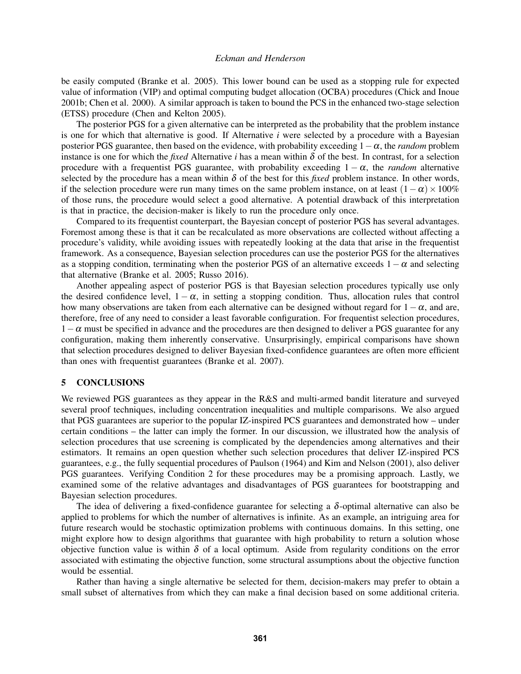be easily computed (Branke et al. 2005). This lower bound can be used as a stopping rule for expected value of information (VIP) and optimal computing budget allocation (OCBA) procedures (Chick and Inoue 2001b; Chen et al. 2000). A similar approach is taken to bound the PCS in the enhanced two-stage selection (ETSS) procedure (Chen and Kelton 2005).

The posterior PGS for a given alternative can be interpreted as the probability that the problem instance is one for which that alternative is good. If Alternative *i* were selected by a procedure with a Bayesian posterior PGS guarantee, then based on the evidence, with probability exceeding 1−α, the *random* problem instance is one for which the *fixed* Alternative *i* has a mean within  $\delta$  of the best. In contrast, for a selection procedure with a frequentist PGS guarantee, with probability exceeding  $1 - \alpha$ , the *random* alternative selected by the procedure has a mean within  $\delta$  of the best for this *fixed* problem instance. In other words, if the selection procedure were run many times on the same problem instance, on at least  $(1 - \alpha) \times 100\%$ of those runs, the procedure would select a good alternative. A potential drawback of this interpretation is that in practice, the decision-maker is likely to run the procedure only once.

Compared to its frequentist counterpart, the Bayesian concept of posterior PGS has several advantages. Foremost among these is that it can be recalculated as more observations are collected without affecting a procedure's validity, while avoiding issues with repeatedly looking at the data that arise in the frequentist framework. As a consequence, Bayesian selection procedures can use the posterior PGS for the alternatives as a stopping condition, terminating when the posterior PGS of an alternative exceeds  $1-\alpha$  and selecting that alternative (Branke et al. 2005; Russo 2016).

Another appealing aspect of posterior PGS is that Bayesian selection procedures typically use only the desired confidence level,  $1 - \alpha$ , in setting a stopping condition. Thus, allocation rules that control how many observations are taken from each alternative can be designed without regard for  $1-\alpha$ , and are, therefore, free of any need to consider a least favorable configuration. For frequentist selection procedures,  $1-\alpha$  must be specified in advance and the procedures are then designed to deliver a PGS guarantee for any configuration, making them inherently conservative. Unsurprisingly, empirical comparisons have shown that selection procedures designed to deliver Bayesian fixed-confidence guarantees are often more efficient than ones with frequentist guarantees (Branke et al. 2007).

## 5 CONCLUSIONS

We reviewed PGS guarantees as they appear in the R&S and multi-armed bandit literature and surveyed several proof techniques, including concentration inequalities and multiple comparisons. We also argued that PGS guarantees are superior to the popular IZ-inspired PCS guarantees and demonstrated how – under certain conditions – the latter can imply the former. In our discussion, we illustrated how the analysis of selection procedures that use screening is complicated by the dependencies among alternatives and their estimators. It remains an open question whether such selection procedures that deliver IZ-inspired PCS guarantees, e.g., the fully sequential procedures of Paulson (1964) and Kim and Nelson (2001), also deliver PGS guarantees. Verifying Condition 2 for these procedures may be a promising approach. Lastly, we examined some of the relative advantages and disadvantages of PGS guarantees for bootstrapping and Bayesian selection procedures.

The idea of delivering a fixed-confidence guarantee for selecting a  $\delta$ -optimal alternative can also be applied to problems for which the number of alternatives is infinite. As an example, an intriguing area for future research would be stochastic optimization problems with continuous domains. In this setting, one might explore how to design algorithms that guarantee with high probability to return a solution whose objective function value is within  $\delta$  of a local optimum. Aside from regularity conditions on the error associated with estimating the objective function, some structural assumptions about the objective function would be essential.

Rather than having a single alternative be selected for them, decision-makers may prefer to obtain a small subset of alternatives from which they can make a final decision based on some additional criteria.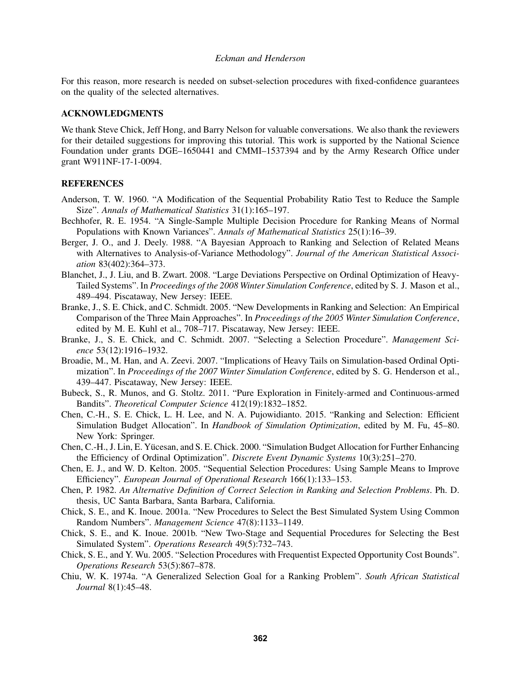For this reason, more research is needed on subset-selection procedures with fixed-confidence guarantees on the quality of the selected alternatives.

## ACKNOWLEDGMENTS

We thank Steve Chick, Jeff Hong, and Barry Nelson for valuable conversations. We also thank the reviewers for their detailed suggestions for improving this tutorial. This work is supported by the National Science Foundation under grants DGE–1650441 and CMMI–1537394 and by the Army Research Office under grant W911NF-17-1-0094.

## **REFERENCES**

- Anderson, T. W. 1960. "A Modification of the Sequential Probability Ratio Test to Reduce the Sample Size". *Annals of Mathematical Statistics* 31(1):165–197.
- Bechhofer, R. E. 1954. "A Single-Sample Multiple Decision Procedure for Ranking Means of Normal Populations with Known Variances". *Annals of Mathematical Statistics* 25(1):16–39.
- Berger, J. O., and J. Deely. 1988. "A Bayesian Approach to Ranking and Selection of Related Means with Alternatives to Analysis-of-Variance Methodology". *Journal of the American Statistical Association* 83(402):364–373.
- Blanchet, J., J. Liu, and B. Zwart. 2008. "Large Deviations Perspective on Ordinal Optimization of Heavy-Tailed Systems". In *Proceedings of the 2008 Winter Simulation Conference*, edited by S. J. Mason et al., 489–494. Piscataway, New Jersey: IEEE.
- Branke, J., S. E. Chick, and C. Schmidt. 2005. "New Developments in Ranking and Selection: An Empirical Comparison of the Three Main Approaches". In *Proceedings of the 2005 Winter Simulation Conference*, edited by M. E. Kuhl et al., 708–717. Piscataway, New Jersey: IEEE.
- Branke, J., S. E. Chick, and C. Schmidt. 2007. "Selecting a Selection Procedure". *Management Science* 53(12):1916–1932.
- Broadie, M., M. Han, and A. Zeevi. 2007. "Implications of Heavy Tails on Simulation-based Ordinal Optimization". In *Proceedings of the 2007 Winter Simulation Conference*, edited by S. G. Henderson et al., 439–447. Piscataway, New Jersey: IEEE.
- Bubeck, S., R. Munos, and G. Stoltz. 2011. "Pure Exploration in Finitely-armed and Continuous-armed Bandits". *Theoretical Computer Science* 412(19):1832–1852.
- Chen, C.-H., S. E. Chick, L. H. Lee, and N. A. Pujowidianto. 2015. "Ranking and Selection: Efficient Simulation Budget Allocation". In *Handbook of Simulation Optimization*, edited by M. Fu, 45–80. New York: Springer.
- Chen, C.-H., J. Lin, E. Yucesan, and S. E. Chick. 2000. "Simulation Budget Allocation for Further Enhancing ¨ the Efficiency of Ordinal Optimization". *Discrete Event Dynamic Systems* 10(3):251–270.
- Chen, E. J., and W. D. Kelton. 2005. "Sequential Selection Procedures: Using Sample Means to Improve Efficiency". *European Journal of Operational Research* 166(1):133–153.
- Chen, P. 1982. *An Alternative Definition of Correct Selection in Ranking and Selection Problems*. Ph. D. thesis, UC Santa Barbara, Santa Barbara, California.
- Chick, S. E., and K. Inoue. 2001a. "New Procedures to Select the Best Simulated System Using Common Random Numbers". *Management Science* 47(8):1133–1149.
- Chick, S. E., and K. Inoue. 2001b. "New Two-Stage and Sequential Procedures for Selecting the Best Simulated System". *Operations Research* 49(5):732–743.
- Chick, S. E., and Y. Wu. 2005. "Selection Procedures with Frequentist Expected Opportunity Cost Bounds". *Operations Research* 53(5):867–878.
- Chiu, W. K. 1974a. "A Generalized Selection Goal for a Ranking Problem". *South African Statistical Journal* 8(1):45–48.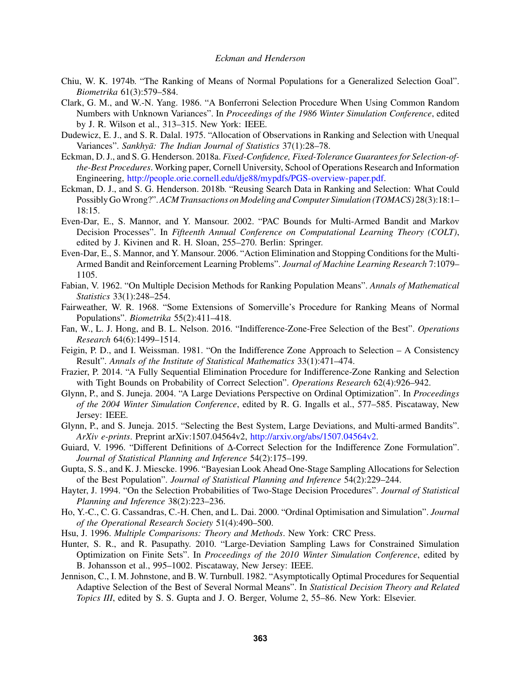- Chiu, W. K. 1974b. "The Ranking of Means of Normal Populations for a Generalized Selection Goal". *Biometrika* 61(3):579–584.
- Clark, G. M., and W.-N. Yang. 1986. "A Bonferroni Selection Procedure When Using Common Random Numbers with Unknown Variances". In *Proceedings of the 1986 Winter Simulation Conference*, edited by J. R. Wilson et al., 313–315. New York: IEEE.
- Dudewicz, E. J., and S. R. Dalal. 1975. "Allocation of Observations in Ranking and Selection with Unequal Variances". *Sankhya: The Indian Journal of Statistics ¯* 37(1):28–78.
- Eckman, D. J., and S. G. Henderson. 2018a. *Fixed-Confidence, Fixed-Tolerance Guarantees for Selection-ofthe-Best Procedures*. Working paper, Cornell University, School of Operations Research and Information Engineering, http://people.orie.cornell.edu/dje88/mypdfs/PGS-overview-paper.pdf.
- Eckman, D. J., and S. G. Henderson. 2018b. "Reusing Search Data in Ranking and Selection: What Could Possibly GoWrong?".*ACM Transactions on Modeling and Computer Simulation (TOMACS)* 28(3):18:1– 18:15.
- Even-Dar, E., S. Mannor, and Y. Mansour. 2002. "PAC Bounds for Multi-Armed Bandit and Markov Decision Processes". In *Fifteenth Annual Conference on Computational Learning Theory (COLT)*, edited by J. Kivinen and R. H. Sloan, 255–270. Berlin: Springer.
- Even-Dar, E., S. Mannor, and Y. Mansour. 2006. "Action Elimination and Stopping Conditions for the Multi-Armed Bandit and Reinforcement Learning Problems". *Journal of Machine Learning Research* 7:1079– 1105.
- Fabian, V. 1962. "On Multiple Decision Methods for Ranking Population Means". *Annals of Mathematical Statistics* 33(1):248–254.
- Fairweather, W. R. 1968. "Some Extensions of Somerville's Procedure for Ranking Means of Normal Populations". *Biometrika* 55(2):411–418.
- Fan, W., L. J. Hong, and B. L. Nelson. 2016. "Indifference-Zone-Free Selection of the Best". *Operations Research* 64(6):1499–1514.
- Feigin, P. D., and I. Weissman. 1981. "On the Indifference Zone Approach to Selection A Consistency Result". *Annals of the Institute of Statistical Mathematics* 33(1):471–474.
- Frazier, P. 2014. "A Fully Sequential Elimination Procedure for Indifference-Zone Ranking and Selection with Tight Bounds on Probability of Correct Selection". *Operations Research* 62(4):926–942.
- Glynn, P., and S. Juneja. 2004. "A Large Deviations Perspective on Ordinal Optimization". In *Proceedings of the 2004 Winter Simulation Conference*, edited by R. G. Ingalls et al., 577–585. Piscataway, New Jersey: IEEE.
- Glynn, P., and S. Juneja. 2015. "Selecting the Best System, Large Deviations, and Multi-armed Bandits". *ArXiv e-prints*. Preprint arXiv:1507.04564v2, http://arxiv.org/abs/1507.04564v2.
- Guiard, V. 1996. "Different Definitions of ∆-Correct Selection for the Indifference Zone Formulation". *Journal of Statistical Planning and Inference* 54(2):175–199.
- Gupta, S. S., and K. J. Miescke. 1996. "Bayesian Look Ahead One-Stage Sampling Allocations for Selection of the Best Population". *Journal of Statistical Planning and Inference* 54(2):229–244.
- Hayter, J. 1994. "On the Selection Probabilities of Two-Stage Decision Procedures". *Journal of Statistical Planning and Inference* 38(2):223–236.
- Ho, Y.-C., C. G. Cassandras, C.-H. Chen, and L. Dai. 2000. "Ordinal Optimisation and Simulation". *Journal of the Operational Research Society* 51(4):490–500.
- Hsu, J. 1996. *Multiple Comparisons: Theory and Methods*. New York: CRC Press.
- Hunter, S. R., and R. Pasupathy. 2010. "Large-Deviation Sampling Laws for Constrained Simulation Optimization on Finite Sets". In *Proceedings of the 2010 Winter Simulation Conference*, edited by B. Johansson et al., 995–1002. Piscataway, New Jersey: IEEE.
- Jennison, C., I. M. Johnstone, and B. W. Turnbull. 1982. "Asymptotically Optimal Procedures for Sequential Adaptive Selection of the Best of Several Normal Means". In *Statistical Decision Theory and Related Topics III*, edited by S. S. Gupta and J. O. Berger, Volume 2, 55–86. New York: Elsevier.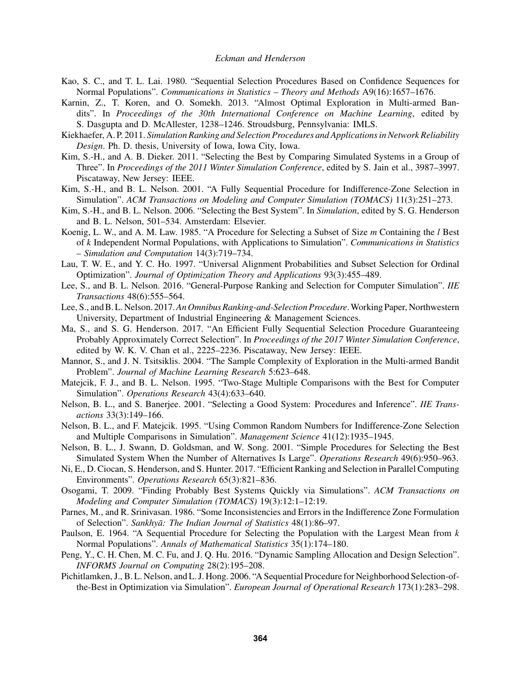- Kao, S. C., and T. L. Lai. 1980. "Sequential Selection Procedures Based on Confidence Sequences for Normal Populations". *Communications in Statistics – Theory and Methods* A9(16):1657–1676.
- Karnin, Z., T. Koren, and O. Somekh. 2013. "Almost Optimal Exploration in Multi-armed Bandits". In *Proceedings of the 30th International Conference on Machine Learning*, edited by S. Dasgupta and D. McAllester, 1238–1246. Stroudsburg, Pennsylvania: IMLS.
- Kiekhaefer, A. P. 2011. *Simulation Ranking and Selection Procedures and Applications in Network Reliability Design*. Ph. D. thesis, University of Iowa, Iowa City, Iowa.
- Kim, S.-H., and A. B. Dieker. 2011. "Selecting the Best by Comparing Simulated Systems in a Group of Three". In *Proceedings of the 2011 Winter Simulation Conference*, edited by S. Jain et al., 3987–3997. Piscataway, New Jersey: IEEE.
- Kim, S.-H., and B. L. Nelson. 2001. "A Fully Sequential Procedure for Indifference-Zone Selection in Simulation". *ACM Transactions on Modeling and Computer Simulation (TOMACS)* 11(3):251–273.
- Kim, S.-H., and B. L. Nelson. 2006. "Selecting the Best System". In *Simulation*, edited by S. G. Henderson and B. L. Nelson, 501–534. Amsterdam: Elsevier.
- Koenig, L. W., and A. M. Law. 1985. "A Procedure for Selecting a Subset of Size *m* Containing the *l* Best of *k* Independent Normal Populations, with Applications to Simulation". *Communications in Statistics – Simulation and Computation* 14(3):719–734.
- Lau, T. W. E., and Y. C. Ho. 1997. "Universal Alignment Probabilities and Subset Selection for Ordinal Optimization". *Journal of Optimization Theory and Applications* 93(3):455–489.
- Lee, S., and B. L. Nelson. 2016. "General-Purpose Ranking and Selection for Computer Simulation". *IIE Transactions* 48(6):555–564.
- Lee, S., and B. L. Nelson. 2017.*An Omnibus Ranking-and-Selection Procedure*.Working Paper, Northwestern University, Department of Industrial Engineering & Management Sciences.
- Ma, S., and S. G. Henderson. 2017. "An Efficient Fully Sequential Selection Procedure Guaranteeing Probably Approximately Correct Selection". In *Proceedings of the 2017 Winter Simulation Conference*, edited by W. K. V. Chan et al., 2225–2236. Piscataway, New Jersey: IEEE.
- Mannor, S., and J. N. Tsitsiklis. 2004. "The Sample Complexity of Exploration in the Multi-armed Bandit Problem". *Journal of Machine Learning Research* 5:623–648.
- Matejcik, F. J., and B. L. Nelson. 1995. "Two-Stage Multiple Comparisons with the Best for Computer Simulation". *Operations Research* 43(4):633–640.
- Nelson, B. L., and S. Banerjee. 2001. "Selecting a Good System: Procedures and Inference". *IIE Transactions* 33(3):149–166.
- Nelson, B. L., and F. Matejcik. 1995. "Using Common Random Numbers for Indifference-Zone Selection and Multiple Comparisons in Simulation". *Management Science* 41(12):1935–1945.
- Nelson, B. L., J. Swann, D. Goldsman, and W. Song. 2001. "Simple Procedures for Selecting the Best Simulated System When the Number of Alternatives Is Large". *Operations Research* 49(6):950–963.
- Ni, E., D. Ciocan, S. Henderson, and S. Hunter. 2017. "Efficient Ranking and Selection in Parallel Computing Environments". *Operations Research* 65(3):821–836.
- Osogami, T. 2009. "Finding Probably Best Systems Quickly via Simulations". *ACM Transactions on Modeling and Computer Simulation (TOMACS)* 19(3):12:1–12:19.
- Parnes, M., and R. Srinivasan. 1986. "Some Inconsistencies and Errors in the Indifference Zone Formulation of Selection". *Sankhyā: The Indian Journal of Statistics* 48(1):86–97.
- Paulson, E. 1964. "A Sequential Procedure for Selecting the Population with the Largest Mean from *k* Normal Populations". *Annals of Mathematical Statistics* 35(1):174–180.
- Peng, Y., C. H. Chen, M. C. Fu, and J. Q. Hu. 2016. "Dynamic Sampling Allocation and Design Selection". *INFORMS Journal on Computing* 28(2):195–208.
- Pichitlamken, J., B. L. Nelson, and L. J. Hong. 2006. "A Sequential Procedure for Neighborhood Selection-ofthe-Best in Optimization via Simulation". *European Journal of Operational Research* 173(1):283–298.